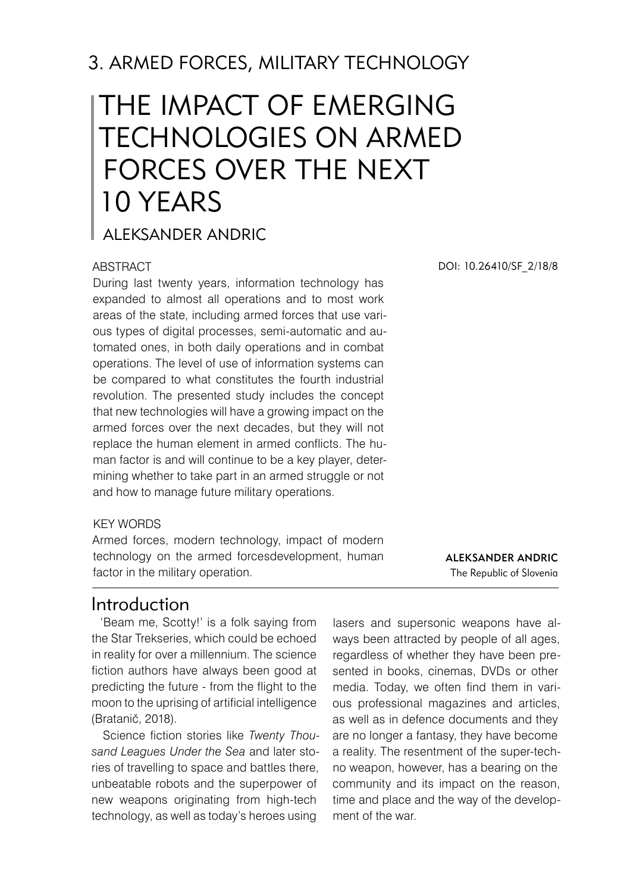# 3. ARMED FORCES, MILITARY TECHNOLOGY

# The impact of emerging technologies on armed forces over the next 10 years

## ALEKSANDER ANDRIC

#### ABSTRACT

During last twenty years, information technology has expanded to almost all operations and to most work areas of the state, including armed forces that use various types of digital processes, semi-automatic and automated ones, in both daily operations and in combat operations. The level of use of information systems can be compared to what constitutes the fourth industrial revolution. The presented study includes the concept that new technologies will have a growing impact on the armed forces over the next decades, but they will not replace the human element in armed conflicts. The human factor is and will continue to be a key player, determining whether to take part in an armed struggle or not and how to manage future military operations.

#### KEY WORDS

Armed forces, modern technology, impact of modern technology on the armed forcesdevelopment, human factor in the military operation.

DOI: 10.26410/SF\_2/18/8

Aleksander Andric The Republic of Slovenia

## Introduction

'Beam me, Scotty!' is a folk saying from the Star Trekseries, which could be echoed in reality for over a millennium. The science fiction authors have always been good at predicting the future - from the flight to the moon to the uprising of artificial intelligence (Bratanič, 2018).

Science fiction stories like *Twenty Thousand Leagues Under the Sea* and later stories of travelling to space and battles there, unbeatable robots and the superpower of new weapons originating from high-tech technology, as well as today's heroes using

lasers and supersonic weapons have always been attracted by people of all ages, regardless of whether they have been presented in books, cinemas, DVDs or other media. Today, we often find them in various professional magazines and articles, as well as in defence documents and they are no longer a fantasy, they have become a reality. The resentment of the super-techno weapon, however, has a bearing on the community and its impact on the reason, time and place and the way of the development of the war.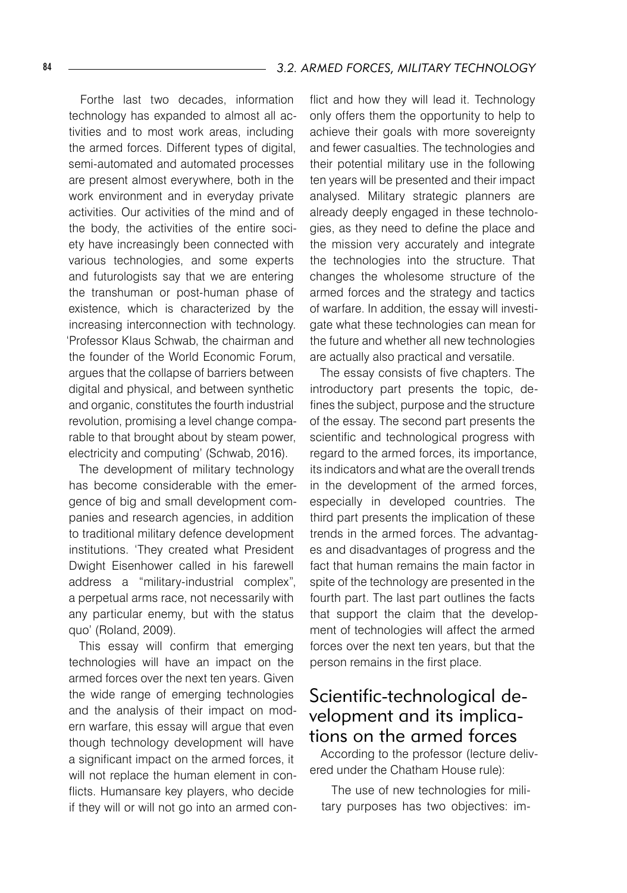Forthe last two decades, information technology has expanded to almost all activities and to most work areas, including the armed forces. Different types of digital, semi-automated and automated processes are present almost everywhere, both in the work environment and in everyday private activities. Our activities of the mind and of the body, the activities of the entire society have increasingly been connected with various technologies, and some experts and futurologists say that we are entering the transhuman or post-human phase of existence, which is characterized by the increasing interconnection with technology. 'Professor Klaus Schwab, the chairman and the founder of the World Economic Forum, argues that the collapse of barriers between digital and physical, and between synthetic and organic, constitutes the fourth industrial revolution, promising a level change comparable to that brought about by steam power, electricity and computing' (Schwab, 2016).

The development of military technology has become considerable with the emergence of big and small development companies and research agencies, in addition to traditional military defence development institutions. 'They created what President Dwight Eisenhower called in his farewell address a "military-industrial complex", a perpetual arms race, not necessarily with any particular enemy, but with the status quo' (Roland, 2009).

This essay will confirm that emerging technologies will have an impact on the armed forces over the next ten years. Given the wide range of emerging technologies and the analysis of their impact on modern warfare, this essay will argue that even though technology development will have a significant impact on the armed forces, it will not replace the human element in conflicts. Humansare key players, who decide if they will or will not go into an armed conflict and how they will lead it. Technology only offers them the opportunity to help to achieve their goals with more sovereignty and fewer casualties. The technologies and their potential military use in the following ten years will be presented and their impact analysed. Military strategic planners are already deeply engaged in these technologies, as they need to define the place and the mission very accurately and integrate the technologies into the structure. That changes the wholesome structure of the armed forces and the strategy and tactics of warfare. In addition, the essay will investigate what these technologies can mean for the future and whether all new technologies are actually also practical and versatile.

The essay consists of five chapters. The introductory part presents the topic, defines the subject, purpose and the structure of the essay. The second part presents the scientific and technological progress with regard to the armed forces, its importance, its indicators and what are the overall trends in the development of the armed forces, especially in developed countries. The third part presents the implication of these trends in the armed forces. The advantages and disadvantages of progress and the fact that human remains the main factor in spite of the technology are presented in the fourth part. The last part outlines the facts that support the claim that the development of technologies will affect the armed forces over the next ten years, but that the person remains in the first place.

## Scientific-technological development and its implications on the armed forces

According to the professor (lecture delivered under the Chatham House rule):

The use of new technologies for military purposes has two objectives: im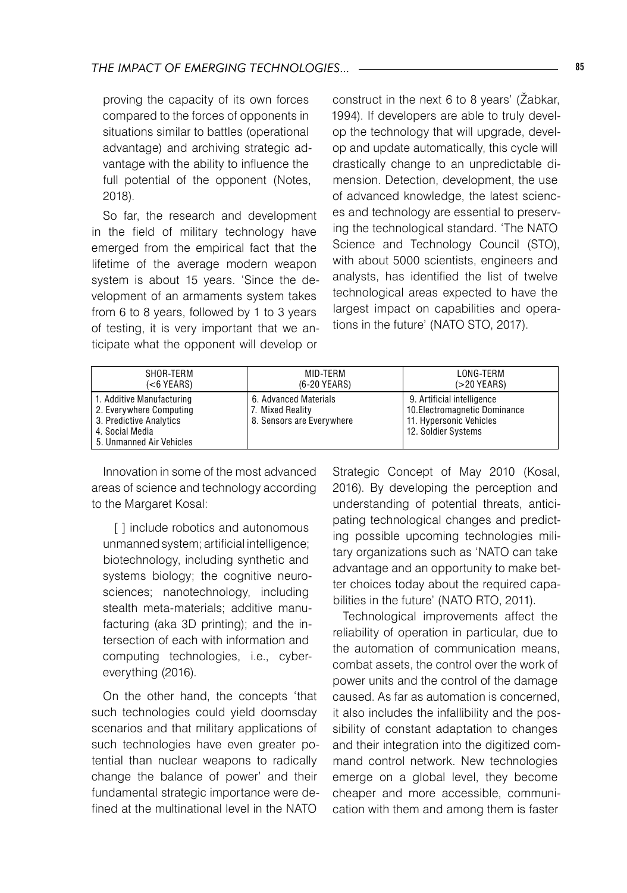proving the capacity of its own forces compared to the forces of opponents in situations similar to battles (operational advantage) and archiving strategic advantage with the ability to influence the full potential of the opponent (Notes, 2018).

So far, the research and development in the field of military technology have emerged from the empirical fact that the lifetime of the average modern weapon system is about 15 years. 'Since the development of an armaments system takes from 6 to 8 years, followed by 1 to 3 years of testing, it is very important that we anticipate what the opponent will develop or

construct in the next 6 to 8 years' (Žabkar, 1994). If developers are able to truly develop the technology that will upgrade, develop and update automatically, this cycle will drastically change to an unpredictable dimension. Detection, development, the use of advanced knowledge, the latest sciences and technology are essential to preserving the technological standard. 'The NATO Science and Technology Council (STO), with about 5000 scientists, engineers and analysts, has identified the list of twelve technological areas expected to have the largest impact on capabilities and operations in the future' (NATO STO, 2017).

| SHOR-TERM                                                                                                                      | MID-TERM                                                               | LONG-TERM                                                                                                     |
|--------------------------------------------------------------------------------------------------------------------------------|------------------------------------------------------------------------|---------------------------------------------------------------------------------------------------------------|
| (<6 YEARS)                                                                                                                     | (6-20 YEARS)                                                           | (>20 YEARS)                                                                                                   |
| 1. Additive Manufacturing<br>2. Everywhere Computing<br>3. Predictive Analytics<br>4. Social Media<br>5. Unmanned Air Vehicles | 6. Advanced Materials<br>7. Mixed Reality<br>8. Sensors are Everywhere | 9. Artificial intelligence<br>10. Electromagnetic Dominance<br>11. Hypersonic Vehicles<br>12. Soldier Systems |

Innovation in some of the most advanced areas of science and technology according to the Margaret Kosal:

[ ] include robotics and autonomous unmanned system; artificial intelligence; biotechnology, including synthetic and systems biology; the cognitive neurosciences; nanotechnology, including stealth meta-materials; additive manufacturing (aka 3D printing); and the intersection of each with information and computing technologies, i.e., cybereverything (2016).

On the other hand, the concepts 'that such technologies could yield doomsday scenarios and that military applications of such technologies have even greater potential than nuclear weapons to radically change the balance of power' and their fundamental strategic importance were defined at the multinational level in the NATO

Strategic Concept of May 2010 (Kosal, 2016). By developing the perception and understanding of potential threats, anticipating technological changes and predicting possible upcoming technologies military organizations such as 'NATO can take advantage and an opportunity to make better choices today about the required capabilities in the future' (NATO RTO, 2011).

Technological improvements affect the reliability of operation in particular, due to the automation of communication means, combat assets, the control over the work of power units and the control of the damage caused. As far as automation is concerned, it also includes the infallibility and the possibility of constant adaptation to changes and their integration into the digitized command control network. New technologies emerge on a global level, they become cheaper and more accessible, communication with them and among them is faster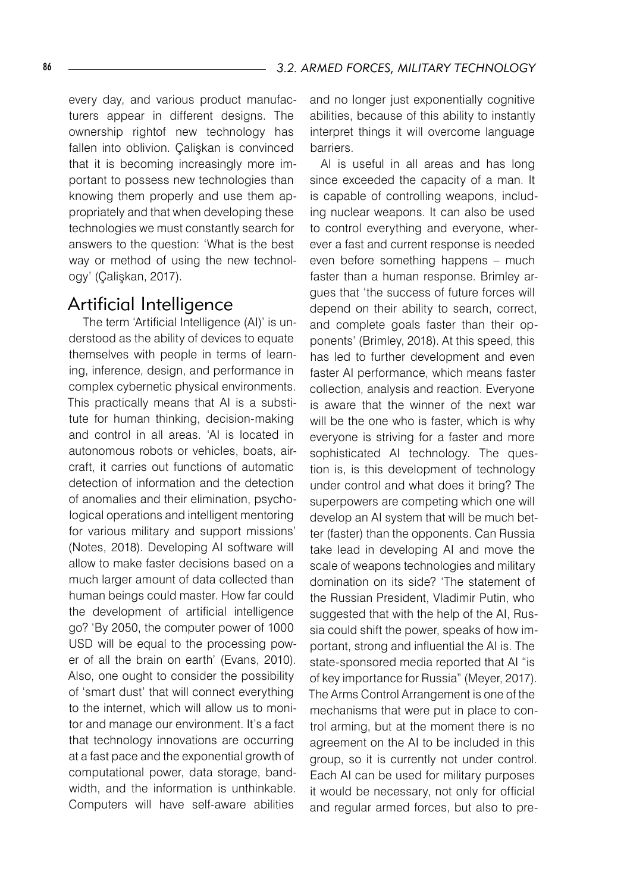every day, and various product manufacturers appear in different designs. The ownership rightof new technology has fallen into oblivion. Çalişkan is convinced that it is becoming increasingly more important to possess new technologies than knowing them properly and use them appropriately and that when developing these technologies we must constantly search for answers to the question: 'What is the best way or method of using the new technology' (Çalişkan, 2017).

## Artificial Intelligence

 The term 'Artificial Intelligence (AI)' is understood as the ability of devices to equate themselves with people in terms of learning, inference, design, and performance in complex cybernetic physical environments. This practically means that AI is a substitute for human thinking, decision-making and control in all areas. 'AI is located in autonomous robots or vehicles, boats, aircraft, it carries out functions of automatic detection of information and the detection of anomalies and their elimination, psychological operations and intelligent mentoring for various military and support missions' (Notes, 2018). Developing AI software will allow to make faster decisions based on a much larger amount of data collected than human beings could master. How far could the development of artificial intelligence go? 'By 2050, the computer power of 1000 USD will be equal to the processing power of all the brain on earth' (Evans, 2010). Also, one ought to consider the possibility of 'smart dust' that will connect everything to the internet, which will allow us to monitor and manage our environment. It's a fact that technology innovations are occurring at a fast pace and the exponential growth of computational power, data storage, bandwidth, and the information is unthinkable. Computers will have self-aware abilities

and no longer just exponentially cognitive abilities, because of this ability to instantly interpret things it will overcome language barriers.

AI is useful in all areas and has long since exceeded the capacity of a man. It is capable of controlling weapons, including nuclear weapons. It can also be used to control everything and everyone, wherever a fast and current response is needed even before something happens – much faster than a human response. Brimley argues that 'the success of future forces will depend on their ability to search, correct, and complete goals faster than their opponents' (Brimley, 2018). At this speed, this has led to further development and even faster AI performance, which means faster collection, analysis and reaction. Everyone is aware that the winner of the next war will be the one who is faster, which is why everyone is striving for a faster and more sophisticated AI technology. The question is, is this development of technology under control and what does it bring? The superpowers are competing which one will develop an AI system that will be much better (faster) than the opponents. Can Russia take lead in developing AI and move the scale of weapons technologies and military domination on its side? 'The statement of the Russian President, Vladimir Putin, who suggested that with the help of the AI, Russia could shift the power, speaks of how important, strong and influential the AI is. The state-sponsored media reported that AI "is of key importance for Russia" (Meyer, 2017). The Arms Control Arrangement is one of the mechanisms that were put in place to control arming, but at the moment there is no agreement on the AI to be included in this group, so it is currently not under control. Each AI can be used for military purposes it would be necessary, not only for official and regular armed forces, but also to pre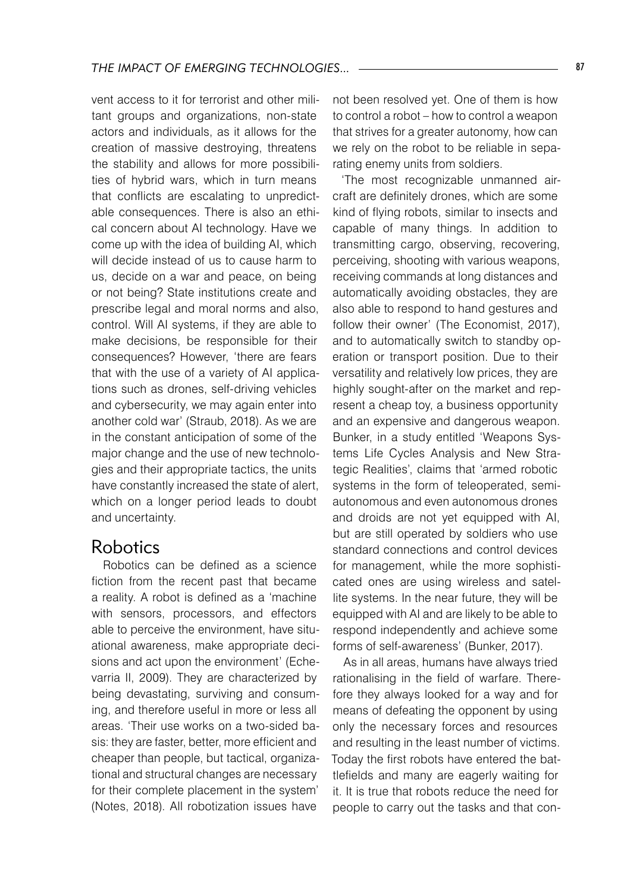vent access to it for terrorist and other militant groups and organizations, non-state actors and individuals, as it allows for the creation of massive destroying, threatens the stability and allows for more possibilities of hybrid wars, which in turn means that conflicts are escalating to unpredictable consequences. There is also an ethical concern about AI technology. Have we come up with the idea of building AI, which will decide instead of us to cause harm to us, decide on a war and peace, on being or not being? State institutions create and prescribe legal and moral norms and also, control. Will AI systems, if they are able to make decisions, be responsible for their consequences? However, 'there are fears that with the use of a variety of AI applications such as drones, self-driving vehicles and cybersecurity, we may again enter into another cold war' (Straub, 2018). As we are in the constant anticipation of some of the major change and the use of new technologies and their appropriate tactics, the units have constantly increased the state of alert, which on a longer period leads to doubt and uncertainty.

### Robotics

Robotics can be defined as a science fiction from the recent past that became a reality. A robot is defined as a 'machine with sensors, processors, and effectors able to perceive the environment, have situational awareness, make appropriate decisions and act upon the environment' (Echevarria II, 2009). They are characterized by being devastating, surviving and consuming, and therefore useful in more or less all areas. 'Their use works on a two-sided basis: they are faster, better, more efficient and cheaper than people, but tactical, organizational and structural changes are necessary for their complete placement in the system' (Notes, 2018). All robotization issues have

not been resolved yet. One of them is how to control a robot – how to control a weapon that strives for a greater autonomy, how can we rely on the robot to be reliable in separating enemy units from soldiers.

'The most recognizable unmanned aircraft are definitely drones, which are some kind of flying robots, similar to insects and capable of many things. In addition to transmitting cargo, observing, recovering, perceiving, shooting with various weapons, receiving commands at long distances and automatically avoiding obstacles, they are also able to respond to hand gestures and follow their owner' (The Economist, 2017), and to automatically switch to standby operation or transport position. Due to their versatility and relatively low prices, they are highly sought-after on the market and represent a cheap toy, a business opportunity and an expensive and dangerous weapon. Bunker, in a study entitled 'Weapons Systems Life Cycles Analysis and New Strategic Realities', claims that 'armed robotic systems in the form of teleoperated, semiautonomous and even autonomous drones and droids are not yet equipped with AI, but are still operated by soldiers who use standard connections and control devices for management, while the more sophisticated ones are using wireless and satellite systems. In the near future, they will be equipped with AI and are likely to be able to respond independently and achieve some forms of self-awareness' (Bunker, 2017).

As in all areas, humans have always tried rationalising in the field of warfare. Therefore they always looked for a way and for means of defeating the opponent by using only the necessary forces and resources and resulting in the least number of victims. Today the first robots have entered the battlefields and many are eagerly waiting for it. It is true that robots reduce the need for people to carry out the tasks and that con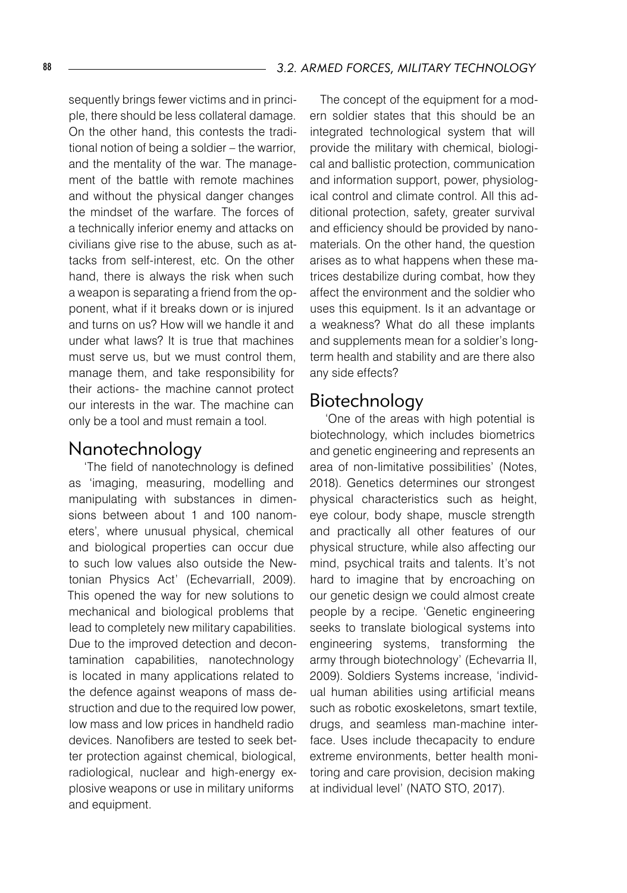sequently brings fewer victims and in principle, there should be less collateral damage. On the other hand, this contests the traditional notion of being a soldier – the warrior, and the mentality of the war. The management of the battle with remote machines and without the physical danger changes the mindset of the warfare. The forces of a technically inferior enemy and attacks on civilians give rise to the abuse, such as attacks from self-interest, etc. On the other hand, there is always the risk when such a weapon is separating a friend from the opponent, what if it breaks down or is injured and turns on us? How will we handle it and under what laws? It is true that machines must serve us, but we must control them, manage them, and take responsibility for their actions- the machine cannot protect our interests in the war. The machine can only be a tool and must remain a tool.

### Nanotechnology

 'The field of nanotechnology is defined as 'imaging, measuring, modelling and manipulating with substances in dimensions between about 1 and 100 nanometers', where unusual physical, chemical and biological properties can occur due to such low values also outside the Newtonian Physics Act' (EchevarriaII, 2009). This opened the way for new solutions to mechanical and biological problems that lead to completely new military capabilities. Due to the improved detection and decontamination capabilities, nanotechnology is located in many applications related to the defence against weapons of mass destruction and due to the required low power, low mass and low prices in handheld radio devices. Nanofibers are tested to seek better protection against chemical, biological, radiological, nuclear and high-energy explosive weapons or use in military uniforms and equipment.

The concept of the equipment for a modern soldier states that this should be an integrated technological system that will provide the military with chemical, biological and ballistic protection, communication and information support, power, physiological control and climate control. All this additional protection, safety, greater survival and efficiency should be provided by nanomaterials. On the other hand, the question arises as to what happens when these matrices destabilize during combat, how they affect the environment and the soldier who uses this equipment. Is it an advantage or a weakness? What do all these implants and supplements mean for a soldier's longterm health and stability and are there also any side effects?

## Biotechnology

 'One of the areas with high potential is biotechnology, which includes biometrics and genetic engineering and represents an area of non-limitative possibilities' (Notes, 2018). Genetics determines our strongest physical characteristics such as height, eye colour, body shape, muscle strength and practically all other features of our physical structure, while also affecting our mind, psychical traits and talents. It's not hard to imagine that by encroaching on our genetic design we could almost create people by a recipe. 'Genetic engineering seeks to translate biological systems into engineering systems, transforming the army through biotechnology' (Echevarria II, 2009). Soldiers Systems increase, 'individual human abilities using artificial means such as robotic exoskeletons, smart textile, drugs, and seamless man-machine interface. Uses include thecapacity to endure extreme environments, better health monitoring and care provision, decision making at individual level' (NATO STO, 2017).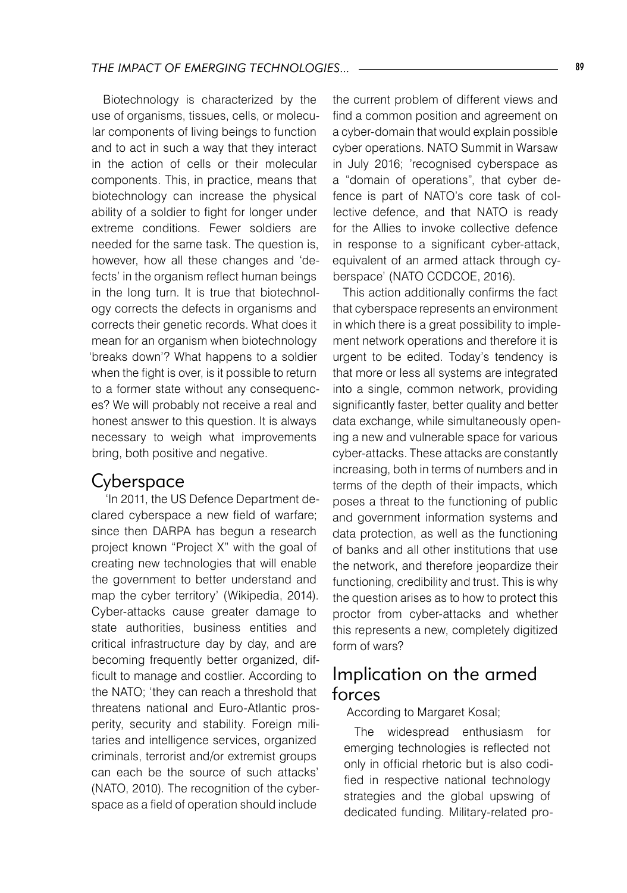Biotechnology is characterized by the use of organisms, tissues, cells, or molecular components of living beings to function and to act in such a way that they interact in the action of cells or their molecular components. This, in practice, means that biotechnology can increase the physical ability of a soldier to fight for longer under extreme conditions. Fewer soldiers are needed for the same task. The question is, however, how all these changes and 'defects' in the organism reflect human beings in the long turn. It is true that biotechnology corrects the defects in organisms and corrects their genetic records. What does it mean for an organism when biotechnology 'breaks down'? What happens to a soldier when the fight is over, is it possible to return to a former state without any consequences? We will probably not receive a real and honest answer to this question. It is always necessary to weigh what improvements bring, both positive and negative.

### Cyberspace

 'In 2011, the US Defence Department declared cyberspace a new field of warfare; since then DARPA has begun a research project known "Project X" with the goal of creating new technologies that will enable the government to better understand and map the cyber territory' (Wikipedia, 2014). Cyber-attacks cause greater damage to state authorities, business entities and critical infrastructure day by day, and are becoming frequently better organized, difficult to manage and costlier. According to the NATO; 'they can reach a threshold that threatens national and Euro-Atlantic prosperity, security and stability. Foreign militaries and intelligence services, organized criminals, terrorist and/or extremist groups can each be the source of such attacks' (NATO, 2010). The recognition of the cyberspace as a field of operation should include

the current problem of different views and find a common position and agreement on a cyber-domain that would explain possible cyber operations. NATO Summit in Warsaw in July 2016; 'recognised cyberspace as a "domain of operations", that cyber defence is part of NATO's core task of collective defence, and that NATO is ready for the Allies to invoke collective defence in response to a significant cyber-attack, equivalent of an armed attack through cyberspace' (NATO CCDCOE, 2016).

This action additionally confirms the fact that cyberspace represents an environment in which there is a great possibility to implement network operations and therefore it is urgent to be edited. Today's tendency is that more or less all systems are integrated into a single, common network, providing significantly faster, better quality and better data exchange, while simultaneously opening a new and vulnerable space for various cyber-attacks. These attacks are constantly increasing, both in terms of numbers and in terms of the depth of their impacts, which poses a threat to the functioning of public and government information systems and data protection, as well as the functioning of banks and all other institutions that use the network, and therefore jeopardize their functioning, credibility and trust. This is why the question arises as to how to protect this proctor from cyber-attacks and whether this represents a new, completely digitized form of wars?

## Implication on the armed forces

#### According to Margaret Kosal;

The widespread enthusiasm for emerging technologies is reflected not only in official rhetoric but is also codified in respective national technology strategies and the global upswing of dedicated funding. Military-related pro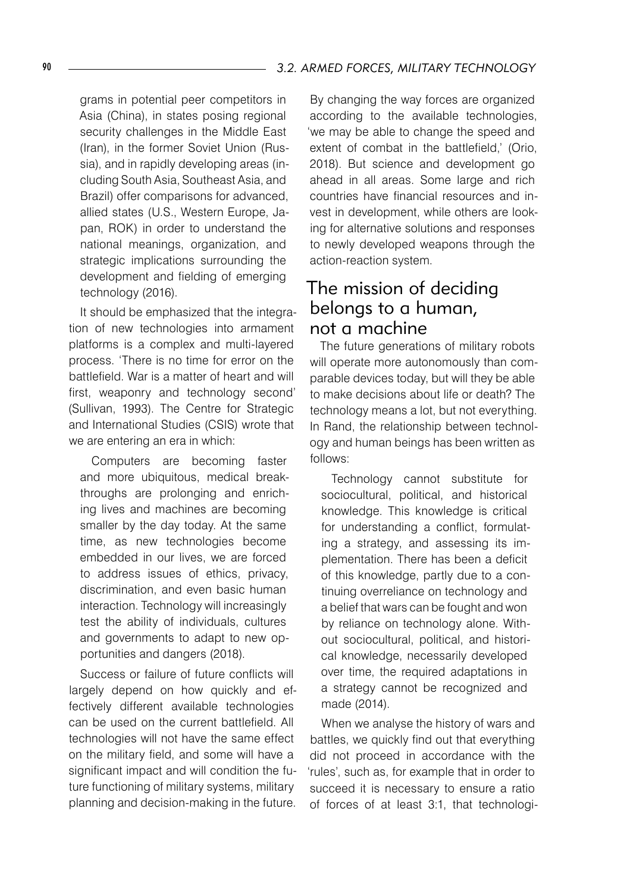grams in potential peer competitors in Asia (China), in states posing regional security challenges in the Middle East (Iran), in the former Soviet Union (Russia), and in rapidly developing areas (including South Asia, Southeast Asia, and Brazil) offer comparisons for advanced, allied states (U.S., Western Europe, Japan, ROK) in order to understand the national meanings, organization, and strategic implications surrounding the development and fielding of emerging technology (2016).

It should be emphasized that the integration of new technologies into armament platforms is a complex and multi-layered process. 'There is no time for error on the battlefield. War is a matter of heart and will first, weaponry and technology second' (Sullivan, 1993). The Centre for Strategic and International Studies (CSIS) wrote that we are entering an era in which:

Computers are becoming faster and more ubiquitous, medical breakthroughs are prolonging and enriching lives and machines are becoming smaller by the day today. At the same time, as new technologies become embedded in our lives, we are forced to address issues of ethics, privacy, discrimination, and even basic human interaction. Technology will increasingly test the ability of individuals, cultures and governments to adapt to new opportunities and dangers (2018).

Success or failure of future conflicts will largely depend on how quickly and effectively different available technologies can be used on the current battlefield. All technologies will not have the same effect on the military field, and some will have a significant impact and will condition the future functioning of military systems, military planning and decision-making in the future.

By changing the way forces are organized according to the available technologies, 'we may be able to change the speed and extent of combat in the battlefield,' (Orio, 2018). But science and development go ahead in all areas. Some large and rich countries have financial resources and invest in development, while others are looking for alternative solutions and responses to newly developed weapons through the action-reaction system.

## The mission of deciding belongs to a human, not a machine

The future generations of military robots will operate more autonomously than comparable devices today, but will they be able to make decisions about life or death? The technology means a lot, but not everything. In Rand, the relationship between technology and human beings has been written as follows:

Technology cannot substitute for sociocultural, political, and historical knowledge. This knowledge is critical for understanding a conflict, formulating a strategy, and assessing its implementation. There has been a deficit of this knowledge, partly due to a continuing overreliance on technology and a belief that wars can be fought and won by reliance on technology alone. Without sociocultural, political, and historical knowledge, necessarily developed over time, the required adaptations in a strategy cannot be recognized and made (2014).

When we analyse the history of wars and battles, we quickly find out that everything did not proceed in accordance with the 'rules', such as, for example that in order to succeed it is necessary to ensure a ratio of forces of at least 3:1, that technologi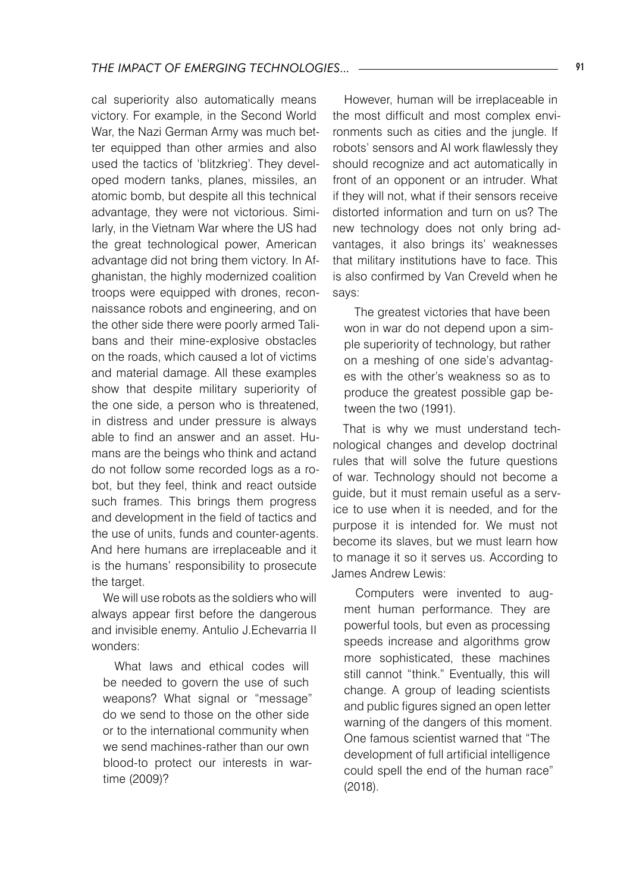cal superiority also automatically means victory. For example, in the Second World War, the Nazi German Army was much better equipped than other armies and also used the tactics of 'blitzkrieg'. They developed modern tanks, planes, missiles, an atomic bomb, but despite all this technical advantage, they were not victorious. Similarly, in the Vietnam War where the US had the great technological power, American advantage did not bring them victory. In Afghanistan, the highly modernized coalition troops were equipped with drones, reconnaissance robots and engineering, and on the other side there were poorly armed Talibans and their mine-explosive obstacles on the roads, which caused a lot of victims and material damage. All these examples show that despite military superiority of the one side, a person who is threatened, in distress and under pressure is always able to find an answer and an asset. Humans are the beings who think and actand do not follow some recorded logs as a robot, but they feel, think and react outside such frames. This brings them progress and development in the field of tactics and the use of units, funds and counter-agents. And here humans are irreplaceable and it is the humans' responsibility to prosecute the target.

We will use robots as the soldiers who will always appear first before the dangerous and invisible enemy. Antulio J.Echevarria II wonders:

What laws and ethical codes will be needed to govern the use of such weapons? What signal or "message" do we send to those on the other side or to the international community when we send machines-rather than our own blood-to protect our interests in wartime (2009)?

However, human will be irreplaceable in the most difficult and most complex environments such as cities and the jungle. If robots' sensors and AI work flawlessly they should recognize and act automatically in front of an opponent or an intruder. What if they will not, what if their sensors receive distorted information and turn on us? The new technology does not only bring advantages, it also brings its' weaknesses that military institutions have to face. This is also confirmed by Van Creveld when he says:

The greatest victories that have been won in war do not depend upon a simple superiority of technology, but rather on a meshing of one side's advantages with the other's weakness so as to produce the greatest possible gap between the two (1991).

That is why we must understand technological changes and develop doctrinal rules that will solve the future questions of war. Technology should not become a guide, but it must remain useful as a service to use when it is needed, and for the purpose it is intended for. We must not become its slaves, but we must learn how to manage it so it serves us. According to James Andrew Lewis:

Computers were invented to augment human performance. They are powerful tools, but even as processing speeds increase and algorithms grow more sophisticated, these machines still cannot "think." Eventually, this will change. A group of leading scientists and public figures signed an open letter warning of the dangers of this moment. One famous scientist warned that "The development of full artificial intelligence could spell the end of the human race" (2018).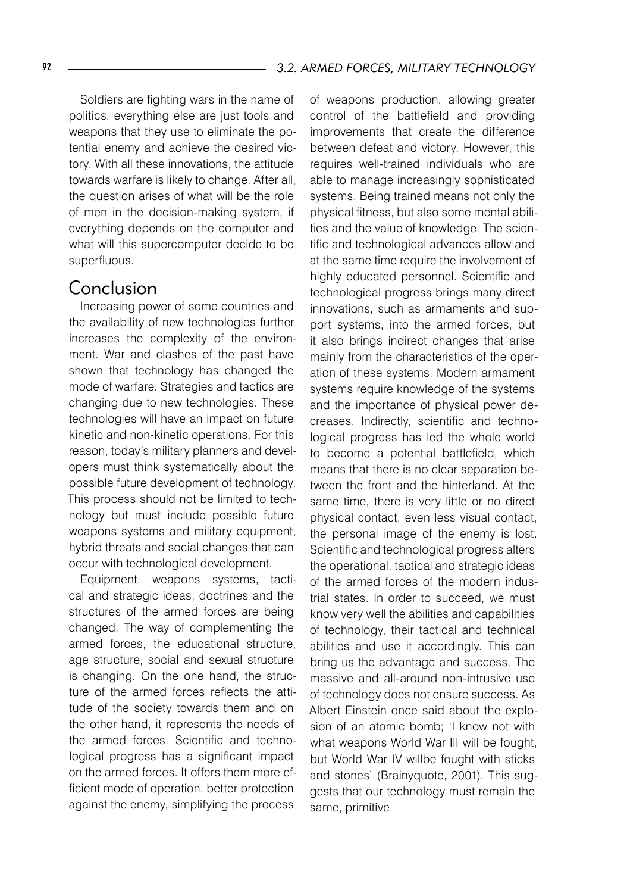Soldiers are fighting wars in the name of politics, everything else are just tools and weapons that they use to eliminate the potential enemy and achieve the desired victory. With all these innovations, the attitude towards warfare is likely to change. After all, the question arises of what will be the role of men in the decision-making system, if everything depends on the computer and what will this supercomputer decide to be superfluous.

## Conclusion

Increasing power of some countries and the availability of new technologies further increases the complexity of the environment. War and clashes of the past have shown that technology has changed the mode of warfare. Strategies and tactics are changing due to new technologies. These technologies will have an impact on future kinetic and non-kinetic operations. For this reason, today's military planners and developers must think systematically about the possible future development of technology. This process should not be limited to technology but must include possible future weapons systems and military equipment, hybrid threats and social changes that can occur with technological development.

Equipment, weapons systems, tactical and strategic ideas, doctrines and the structures of the armed forces are being changed. The way of complementing the armed forces, the educational structure, age structure, social and sexual structure is changing. On the one hand, the structure of the armed forces reflects the attitude of the society towards them and on the other hand, it represents the needs of the armed forces. Scientific and technological progress has a significant impact on the armed forces. It offers them more efficient mode of operation, better protection against the enemy, simplifying the process

of weapons production, allowing greater control of the battlefield and providing improvements that create the difference between defeat and victory. However, this requires well-trained individuals who are able to manage increasingly sophisticated systems. Being trained means not only the physical fitness, but also some mental abilities and the value of knowledge. The scientific and technological advances allow and at the same time require the involvement of highly educated personnel. Scientific and technological progress brings many direct innovations, such as armaments and support systems, into the armed forces, but it also brings indirect changes that arise mainly from the characteristics of the operation of these systems. Modern armament systems require knowledge of the systems and the importance of physical power decreases. Indirectly, scientific and technological progress has led the whole world to become a potential battlefield, which means that there is no clear separation between the front and the hinterland. At the same time, there is very little or no direct physical contact, even less visual contact, the personal image of the enemy is lost. Scientific and technological progress alters the operational, tactical and strategic ideas of the armed forces of the modern industrial states. In order to succeed, we must know very well the abilities and capabilities of technology, their tactical and technical abilities and use it accordingly. This can bring us the advantage and success. The massive and all-around non-intrusive use of technology does not ensure success. As Albert Einstein once said about the explosion of an atomic bomb; 'I know not with what weapons World War III will be fought, but World War IV willbe fought with sticks and stones' (Brainyquote, 2001). This suggests that our technology must remain the same, primitive.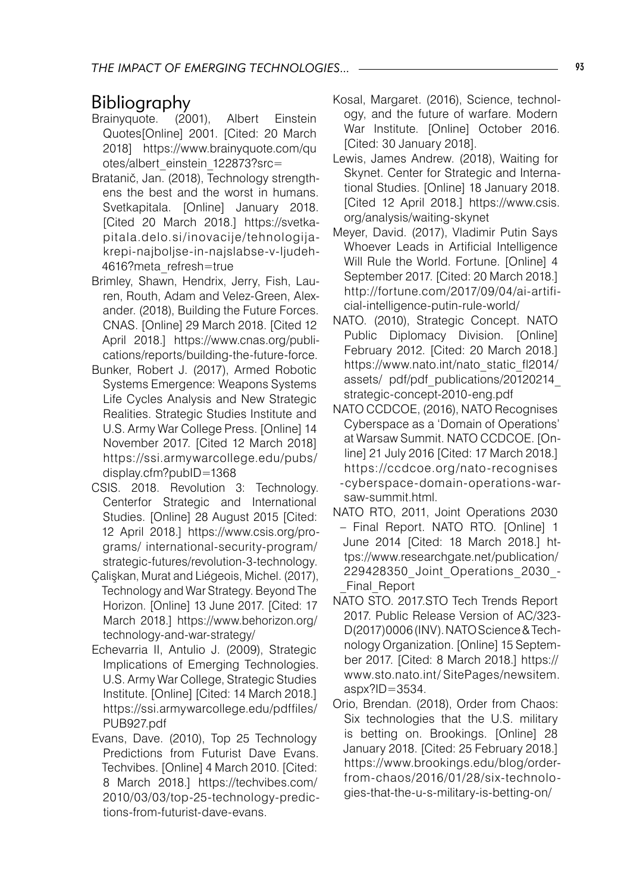# **Bibliography**<br><sub>Brainvquote. (2001).</sub>

- Brainyquote. (2001), Albert Einstein Quotes[Online] 2001. [Cited: 20 March 2018] https://www.brainyquote.com/qu otes/albert\_einstein\_122873?src=
- Bratanič, Jan. (2018), Technology strengthens the best and the worst in humans. Svetkapitala. [Online] January 2018. [Cited 20 March 2018.] https://svetkapitala.delo.si/inovacije/tehnologijakrepi-najboljse-in-najslabse-v-ljudeh-4616?meta\_refresh=true
- Brimley, Shawn, Hendrix, Jerry, Fish, Lauren, Routh, Adam and Velez-Green, Alexander. (2018), Building the Future Forces. CNAS. [Online] 29 March 2018. [Cited 12 April 2018.] https://www.cnas.org/publications/reports/building-the-future-force.
- Bunker, Robert J. (2017), Armed Robotic Systems Emergence: Weapons Systems Life Cycles Analysis and New Strategic Realities. Strategic Studies Institute and U.S. Army War College Press. [Online] 14 November 2017. [Cited 12 March 2018] https://ssi.armywarcollege.edu/pubs/ display.cfm?pubID=1368
- CSIS. 2018. Revolution 3: Technology. Centerfor Strategic and International Studies. [Online] 28 August 2015 [Cited: 12 April 2018.] https://www.csis.org/programs/ international-security-program/ strategic-futures/revolution-3-technology.
- Çalişkan, Murat and Liégeois, Michel. (2017), Technology and War Strategy. Beyond The Horizon. [Online] 13 June 2017. [Cited: 17 March 2018.] https://www.behorizon.org/ technology-and-war-strategy/
- Echevarria II, Antulio J. (2009), Strategic Implications of Emerging Technologies. U.S. Army War College, Strategic Studies Institute. [Online] [Cited: 14 March 2018.] https://ssi.armywarcollege.edu/pdffiles/ PUB927.pdf
- Evans, Dave. (2010), Top 25 Technology Predictions from Futurist Dave Evans. Techvibes. [Online] 4 March 2010. [Cited: 8 March 2018.] https://techvibes.com/ 2010/03/03/top-25-technology-predictions-from-futurist-dave-evans.
- Kosal, Margaret. (2016), Science, technology, and the future of warfare. Modern War Institute. [Online] October 2016. [Cited: 30 January 2018].
- Lewis, James Andrew. (2018), Waiting for Skynet. Center for Strategic and International Studies. [Online] 18 January 2018. [Cited 12 April 2018.] https://www.csis. org/analysis/waiting-skynet
- Meyer, David. (2017), Vladimir Putin Says Whoever Leads in Artificial Intelligence Will Rule the World. Fortune. [Online] 4 September 2017. [Cited: 20 March 2018.] http://fortune.com/2017/09/04/ai-artificial-intelligence-putin-rule-world/
- NATO. (2010), Strategic Concept. NATO Public Diplomacy Division. [Online] February 2012. [Cited: 20 March 2018.] https://www.nato.int/nato\_static\_fl2014/ assets/ pdf/pdf publications/20120214 strategic-concept-2010-eng.pdf
- NATO CCDCOE, (2016), NATO Recognises Cyberspace as a 'Domain of Operations' at Warsaw Summit. NATO CCDCOE. [Online] 21 July 2016 [Cited: 17 March 2018.] https://ccdcoe.org/nato-recognises -cyberspace-domain-operations-warsaw-summit.html.
- NATO RTO, 2011, Joint Operations 2030 – Final Report. NATO RTO. [Online] 1 June 2014 [Cited: 18 March 2018.] https://www.researchgate.net/publication/ 229428350\_Joint\_Operations\_2030\_- Final Report
- NATO STO. 2017.STO Tech Trends Report 2017. Public Release Version of AC/323- D(2017)0006 (INV). NATO Science & Technology Organization. [Online] 15 September 2017. [Cited: 8 March 2018.] https:// www.sto.nato.int/ SitePages/newsitem. aspx?ID=3534.
- Orio, Brendan. (2018), Order from Chaos: Six technologies that the U.S. military is betting on. Brookings. [Online] 28 January 2018. [Cited: 25 February 2018.] https://www.brookings.edu/blog/orderfrom-chaos/2016/01/28/six-technologies-that-the-u-s-military-is-betting-on/